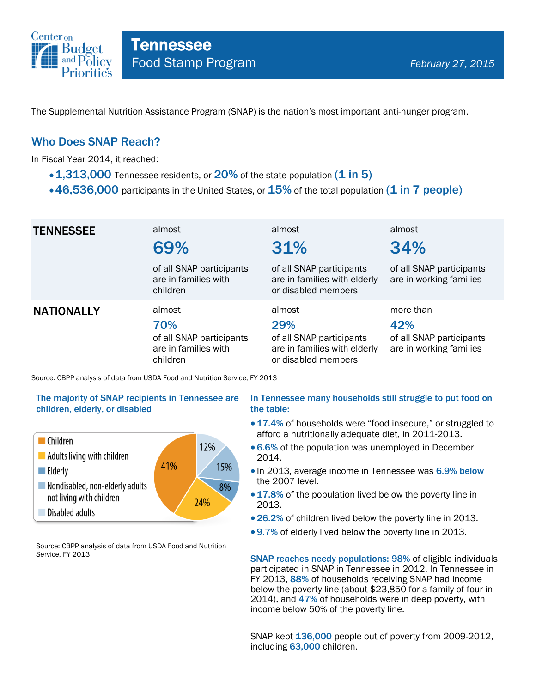

The Supplemental Nutrition Assistance Program (SNAP) is the nation's most important anti-hunger program.

### Who Does SNAP Reach?

In Fiscal Year 2014, it reached:

- $\cdot$  1,313,000 Tennessee residents, or 20% of the state population (1 in 5)
- $\cdot$  46,536,000 participants in the United States, or  $15\%$  of the total population (1 in 7 people)

| <b>TENNESSEE</b>  | almost<br>69%<br>of all SNAP participants<br>are in families with<br>children | almost<br>31%<br>of all SNAP participants<br>are in families with elderly<br>or disabled members | almost<br>34%<br>of all SNAP participants<br>are in working families    |
|-------------------|-------------------------------------------------------------------------------|--------------------------------------------------------------------------------------------------|-------------------------------------------------------------------------|
| <b>NATIONALLY</b> | almost<br>70%<br>of all SNAP participants<br>are in families with<br>children | almost<br>29%<br>of all SNAP participants<br>are in families with elderly<br>or disabled members | more than<br>42%<br>of all SNAP participants<br>are in working families |

Source: CBPP analysis of data from USDA Food and Nutrition Service, FY 2013

### The majority of SNAP recipients in Tennessee are children, elderly, or disabled



Source: CBPP analysis of data from USDA Food and Nutrition Service, FY 2013

### In Tennessee many households still struggle to put food on the table:

- 17.4% of households were "food insecure," or struggled to afford a nutritionally adequate diet, in 2011-2013.
- 6.6% of the population was unemployed in December 2014.
- In 2013, average income in Tennessee was 6.9% below the 2007 level.
- 17.8% of the population lived below the poverty line in 2013.
- 26.2% of children lived below the poverty line in 2013.
- 9.7% of elderly lived below the poverty line in 2013.

SNAP reaches needy populations: 98% of eligible individuals participated in SNAP in Tennessee in 2012. In Tennessee in FY 2013, 88% of households receiving SNAP had income below the poverty line (about \$23,850 for a family of four in 2014), and 47% of households were in deep poverty, with income below 50% of the poverty line.

SNAP kept 136,000 people out of poverty from 2009-2012, including 63,000 children.